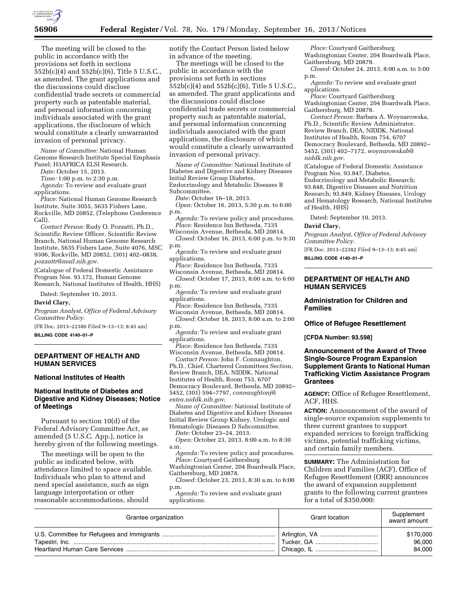

The meeting will be closed to the public in accordance with the provisions set forth in sections 552b(c)(4) and 552b(c)(6), Title 5 U.S.C., as amended. The grant applications and the discussions could disclose confidential trade secrets or commercial property such as patentable material, and personal information concerning individuals associated with the grant applications, the disclosure of which would constitute a clearly unwarranted invasion of personal privacy.

*Name of Committee:* National Human Genome Research Institute Special Emphasis Panel; H3AFRICA ELSI Research.

*Date:* October 15, 2013.

*Time:* 1:00 p.m. to 2:30 p.m.

*Agenda:* To review and evaluate grant applications.

*Place:* National Human Genome Research Institute, Suite 3055, 5635 Fishers Lane, Rockville, MD 20852, (Telephone Conference Call).

*Contact Person:* Rudy O. Pozzatti, Ph.D., Scientific Review Officer, Scientific Review Branch, National Human Genome Research Institute, 5635 Fishers Lane, Suite 4076, MSC 9306, Rockville, MD 20852, (301) 402–0838, *[pozzattr@mail.nih.gov.](mailto:pozzattr@mail.nih.gov)* 

(Catalogue of Federal Domestic Assistance Program Nos. 93.172, Human Genome Research, National Institutes of Health, HHS)

Dated: September 10, 2013.

#### **David Clary,**

*Program Analyst, Office of Federal Advisory Committee Policy.* 

[FR Doc. 2013–22380 Filed 9–13–13; 8:45 am]

**BILLING CODE 4140–01–P** 

## **DEPARTMENT OF HEALTH AND HUMAN SERVICES**

### **National Institutes of Health**

# **National Institute of Diabetes and Digestive and Kidney Diseases; Notice of Meetings**

Pursuant to section 10(d) of the Federal Advisory Committee Act, as amended (5 U.S.C. App.), notice is hereby given of the following meetings.

The meetings will be open to the public as indicated below, with attendance limited to space available. Individuals who plan to attend and need special assistance, such as sign language interpretation or other reasonable accommodations, should

notify the Contact Person listed below in advance of the meeting.

The meetings will be closed to the public in accordance with the provisions set forth in sections 552b(c)(4) and 552b(c)(6), Title 5 U.S.C., as amended. The grant applications and the discussions could disclose confidential trade secrets or commercial property such as patentable material, and personal information concerning individuals associated with the grant applications, the disclosure of which would constitute a clearly unwarranted invasion of personal privacy.

*Name of Committee:* National Institute of Diabetes and Digestive and Kidney Diseases Initial Review Group Diabetes, Endocrinology and Metabolic Diseases B Subcommittee.

*Date:* October 16–18, 2013.

*Open:* October 16, 2013, 5:30 p.m. to 6:00 p.m.

*Agenda:* To review policy and procedures. *Place:* Residence Inn Bethesda, 7335

Wisconsin Avenue, Bethesda, MD 20814. *Closed:* October 16, 2013, 6:00 p.m. to 9:30 p.m.

*Agenda:* To review and evaluate grant applications.

*Place:* Residence Inn Bethesda, 7335 Wisconsin Avenue, Bethesda, MD 20814.

*Closed:* October 17, 2013, 8:00 a.m. to 6:00 p.m.

*Agenda:* To review and evaluate grant applications.

*Place:* Residence Inn Bethesda, 7335 Wisconsin Avenue, Bethesda, MD 20814.

*Closed:* October 18, 2013, 8:00 a.m. to 2:00 p.m.

*Agenda:* To review and evaluate grant applications.

*Place:* Residence Inn Bethesda, 7335 Wisconsin Avenue, Bethesda, MD 20814.

*Contact Person:* John F. Connaughton, Ph.D., Chief, Chartered Committees Section, Review Branch, DEA, NIDDK, National Institutes of Health, Room 753, 6707 Democracy Boulevard, Bethesda, MD 20892– 5452, (301) 594–7797, *[connaughtonj@](mailto:connaughtonj@extra.niddk.nih.gov) [extra.niddk.nih.gov](mailto:connaughtonj@extra.niddk.nih.gov)*.

*Name of Committee:* National Institute of Diabetes and Digestive and Kidney Diseases Initial Review Group Kidney, Urologic and Hematologic Diseases D Subcommittee.

*Date:* October 23–24, 2013.

*Open:* October 23, 2013, 8:00 a.m. to 8:30 a.m.

*Agenda:* To review policy and procedures. *Place:* Courtyard Gaithersburg

Washingtonian Center, 204 Boardwalk Place, Gaithersburg, MD 20878.

*Closed:* October 23, 2013, 8:30 a.m. to 6:00 p.m.

*Agenda:* To review and evaluate grant applications.

*Place:* Courtyard Gaithersburg Washingtonian Center, 204 Boardwalk Place, Gaithersburg, MD 20878.

*Closed:* October 24, 2013, 8:00 a.m. to 5:00 p.m.

*Agenda:* To review and evaluate grant applications.

*Place:* Courtyard Gaithersburg Washingtonian Center, 204 Boardwalk Place, Gaithersburg, MD 20878.

*Contact Person:* Barbara A. Woynarowska, Ph.D., Scientific Review Administrator, Review Branch, DEA, NIDDK, National Institutes of Health, Room 754, 6707 Democracy Boulevard, Bethesda, MD 20892– 5452, (301) 402–7172, *[woynarowskab@](mailto:woynarowskab@niddk.nih.gov) [niddk.nih.gov](mailto:woynarowskab@niddk.nih.gov)*.

(Catalogue of Federal Domestic Assistance Program Nos. 93.847, Diabetes, Endocrinology and Metabolic Research; 93.848, Digestive Diseases and Nutrition Research; 93.849, Kidney Diseases, Urology and Hematology Research, National Institutes of Health, HHS)

Dated: September 10, 2013.

## **David Clary,**

*Program Analyst, Office of Federal Advisory Committee Policy.* 

[FR Doc. 2013–22382 Filed 9–13–13; 8:45 am] **BILLING CODE 4140–01–P** 

## **DEPARTMENT OF HEALTH AND HUMAN SERVICES**

**Administration for Children and Families** 

#### **Office of Refugee Resettlement**

**[CFDA Number: 93.598]** 

## **Announcement of the Award of Three Single-Source Program Expansion Supplement Grants to National Human Trafficking Victim Assistance Program Grantees**

**AGENCY:** Office of Refugee Resettlement, ACF, HHS.

**ACTION:** Announcement of the award of single-source expansion supplements to three current grantees to support expanded services to foreign trafficking victims, potential trafficking victims, and certain family members.

**SUMMARY:** The Administration for Children and Families (ACF), Office of Refugee Resettlement (ORR) announces the award of expansion supplement grants to the following current grantees for a total of \$350,000:

| Grantee organization | Grant location | Supplement<br>award amount |
|----------------------|----------------|----------------------------|
|                      |                | \$170,000<br>96,000        |
|                      |                | 84.000                     |